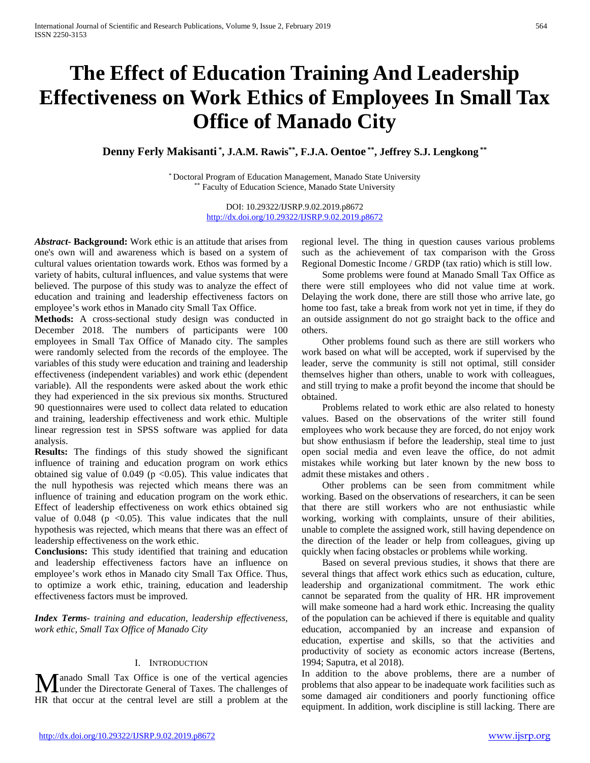# **The Effect of Education Training And Leadership Effectiveness on Work Ethics of Employees In Small Tax Office of Manado City**

**Denny Ferly Makisanti \* , J.A.M. Rawis\*\*, F.J.A. Oentoe \*\*, Jeffrey S.J. Lengkong \*\***

\* Doctoral Program of Education Management, Manado State University \*\* Faculty of Education Science, Manado State University

> DOI: 10.29322/IJSRP.9.02.2019.p8672 <http://dx.doi.org/10.29322/IJSRP.9.02.2019.p8672>

*Abstract***- Background:** Work ethic is an attitude that arises from one's own will and awareness which is based on a system of cultural values orientation towards work. Ethos was formed by a variety of habits, cultural influences, and value systems that were believed. The purpose of this study was to analyze the effect of education and training and leadership effectiveness factors on employee's work ethos in Manado city Small Tax Office.

**Methods:** A cross-sectional study design was conducted in December 2018. The numbers of participants were 100 employees in Small Tax Office of Manado city. The samples were randomly selected from the records of the employee. The variables of this study were education and training and leadership effectiveness (independent variables) and work ethic (dependent variable). All the respondents were asked about the work ethic they had experienced in the six previous six months. Structured 90 questionnaires were used to collect data related to education and training, leadership effectiveness and work ethic. Multiple linear regression test in SPSS software was applied for data analysis.

**Results:** The findings of this study showed the significant influence of training and education program on work ethics obtained sig value of 0.049 ( $p \le 0.05$ ). This value indicates that the null hypothesis was rejected which means there was an influence of training and education program on the work ethic. Effect of leadership effectiveness on work ethics obtained sig value of  $0.048$  (p  $\leq 0.05$ ). This value indicates that the null hypothesis was rejected, which means that there was an effect of leadership effectiveness on the work ethic.

**Conclusions:** This study identified that training and education and leadership effectiveness factors have an influence on employee's work ethos in Manado city Small Tax Office. Thus, to optimize a work ethic, training, education and leadership effectiveness factors must be improved.

*Index Terms*- *training and education, leadership effectiveness, work ethic, Small Tax Office of Manado City*

## I. INTRODUCTION

anado Small Tax Office is one of the vertical agencies **M** anado Small Tax Office is one of the vertical agencies<br>
Under the Directorate General of Taxes. The challenges of HR that occur at the central level are still a problem at the

regional level. The thing in question causes various problems such as the achievement of tax comparison with the Gross Regional Domestic Income / GRDP (tax ratio) which is still low.

Some problems were found at Manado Small Tax Office as there were still employees who did not value time at work. Delaying the work done, there are still those who arrive late, go home too fast, take a break from work not yet in time, if they do an outside assignment do not go straight back to the office and others.

Other problems found such as there are still workers who work based on what will be accepted, work if supervised by the leader, serve the community is still not optimal, still consider themselves higher than others, unable to work with colleagues, and still trying to make a profit beyond the income that should be obtained.

Problems related to work ethic are also related to honesty values. Based on the observations of the writer still found employees who work because they are forced, do not enjoy work but show enthusiasm if before the leadership, steal time to just open social media and even leave the office, do not admit mistakes while working but later known by the new boss to admit these mistakes and others .

Other problems can be seen from commitment while working. Based on the observations of researchers, it can be seen that there are still workers who are not enthusiastic while working, working with complaints, unsure of their abilities, unable to complete the assigned work, still having dependence on the direction of the leader or help from colleagues, giving up quickly when facing obstacles or problems while working.

Based on several previous studies, it shows that there are several things that affect work ethics such as education, culture, leadership and organizational commitment. The work ethic cannot be separated from the quality of HR. HR improvement will make someone had a hard work ethic. Increasing the quality of the population can be achieved if there is equitable and quality education, accompanied by an increase and expansion of education, expertise and skills, so that the activities and productivity of society as economic actors increase (Bertens, 1994; Saputra, et al 2018).

In addition to the above problems, there are a number of problems that also appear to be inadequate work facilities such as some damaged air conditioners and poorly functioning office equipment. In addition, work discipline is still lacking. There are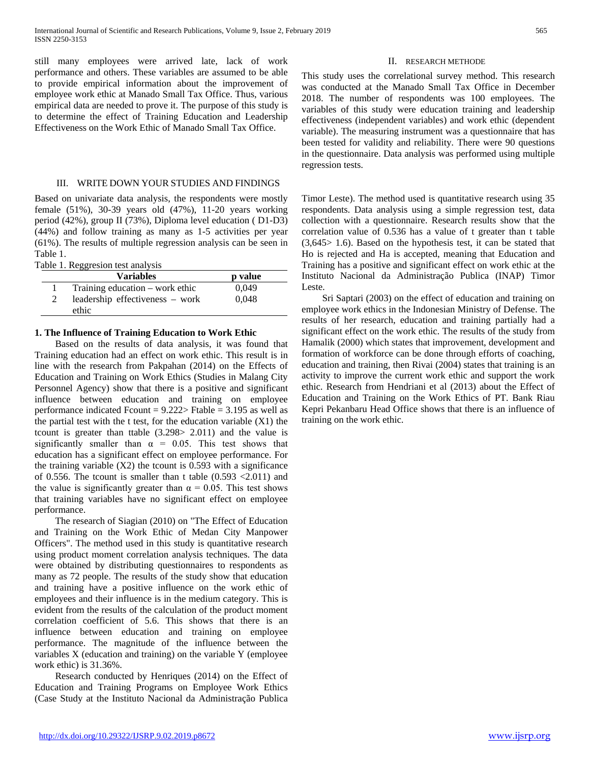still many employees were arrived late, lack of work performance and others. These variables are assumed to be able to provide empirical information about the improvement of employee work ethic at Manado Small Tax Office. Thus, various empirical data are needed to prove it. The purpose of this study is to determine the effect of Training Education and Leadership Effectiveness on the Work Ethic of Manado Small Tax Office.

## III. WRITE DOWN YOUR STUDIES AND FINDINGS

Based on univariate data analysis, the respondents were mostly female (51%), 30-39 years old (47%), 11-20 years working period (42%), group II (73%), Diploma level education ( D1-D3) (44%) and follow training as many as 1-5 activities per year (61%). The results of multiple regression analysis can be seen in Table 1.

|  | Table 1. Reggresion test analysis |  |
|--|-----------------------------------|--|

| - 00 - - - - - - - - - - - - - - -<br><b>Variables</b> | p value |  |
|--------------------------------------------------------|---------|--|
| Training education – work ethic                        | 0.049   |  |
| leadership effectiveness – work<br>ethic               | 0.048   |  |

## **1. The Influence of Training Education to Work Ethic**

Based on the results of data analysis, it was found that Training education had an effect on work ethic. This result is in line with the research from Pakpahan (2014) on the Effects of Education and Training on Work Ethics (Studies in Malang City Personnel Agency) show that there is a positive and significant influence between education and training on employee performance indicated Fcount =  $9.222$  Ftable = 3.195 as well as the partial test with the t test, for the education variable  $(X1)$  the tcount is greater than ttable (3.298> 2.011) and the value is significantly smaller than  $\alpha = 0.05$ . This test shows that education has a significant effect on employee performance. For the training variable  $(X2)$  the tcount is 0.593 with a significance of 0.556. The tcount is smaller than t table  $(0.593 \, \textless\, 2.011)$  and the value is significantly greater than  $\alpha = 0.05$ . This test shows that training variables have no significant effect on employee performance.

The research of Siagian (2010) on "The Effect of Education and Training on the Work Ethic of Medan City Manpower Officers". The method used in this study is quantitative research using product moment correlation analysis techniques. The data were obtained by distributing questionnaires to respondents as many as 72 people. The results of the study show that education and training have a positive influence on the work ethic of employees and their influence is in the medium category. This is evident from the results of the calculation of the product moment correlation coefficient of 5.6. This shows that there is an influence between education and training on employee performance. The magnitude of the influence between the variables X (education and training) on the variable Y (employee work ethic) is 31.36%.

Research conducted by Henriques (2014) on the Effect of Education and Training Programs on Employee Work Ethics (Case Study at the Instituto Nacional da Administração Publica

## II. RESEARCH METHODE

This study uses the correlational survey method. This research was conducted at the Manado Small Tax Office in December 2018. The number of respondents was 100 employees. The variables of this study were education training and leadership effectiveness (independent variables) and work ethic (dependent variable). The measuring instrument was a questionnaire that has been tested for validity and reliability. There were 90 questions in the questionnaire. Data analysis was performed using multiple regression tests.

Timor Leste). The method used is quantitative research using 35 respondents. Data analysis using a simple regression test, data collection with a questionnaire. Research results show that the correlation value of 0.536 has a value of t greater than t table (3,645> 1.6). Based on the hypothesis test, it can be stated that Ho is rejected and Ha is accepted, meaning that Education and Training has a positive and significant effect on work ethic at the Instituto Nacional da Administração Publica (INAP) Timor Leste.

Sri Saptari (2003) on the effect of education and training on employee work ethics in the Indonesian Ministry of Defense. The results of her research, education and training partially had a significant effect on the work ethic. The results of the study from Hamalik (2000) which states that improvement, development and formation of workforce can be done through efforts of coaching, education and training, then Rivai (2004) states that training is an activity to improve the current work ethic and support the work ethic. Research from Hendriani et al (2013) about the Effect of Education and Training on the Work Ethics of PT. Bank Riau Kepri Pekanbaru Head Office shows that there is an influence of training on the work ethic.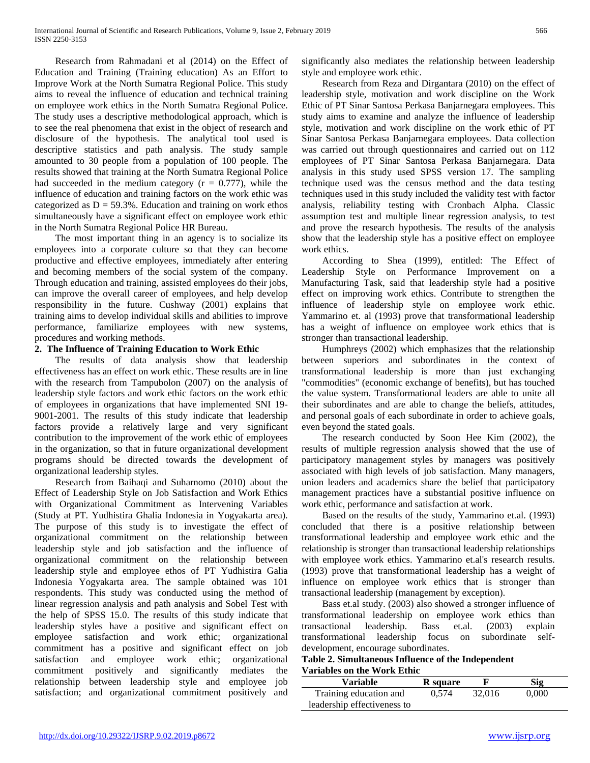Research from Rahmadani et al (2014) on the Effect of Education and Training (Training education) As an Effort to Improve Work at the North Sumatra Regional Police. This study aims to reveal the influence of education and technical training on employee work ethics in the North Sumatra Regional Police. The study uses a descriptive methodological approach, which is to see the real phenomena that exist in the object of research and disclosure of the hypothesis. The analytical tool used is descriptive statistics and path analysis. The study sample amounted to 30 people from a population of 100 people. The results showed that training at the North Sumatra Regional Police had succeeded in the medium category  $(r = 0.777)$ , while the influence of education and training factors on the work ethic was categorized as  $D = 59.3\%$ . Education and training on work ethos simultaneously have a significant effect on employee work ethic in the North Sumatra Regional Police HR Bureau.

The most important thing in an agency is to socialize its employees into a corporate culture so that they can become productive and effective employees, immediately after entering and becoming members of the social system of the company. Through education and training, assisted employees do their jobs, can improve the overall career of employees, and help develop responsibility in the future. Cushway (2001) explains that training aims to develop individual skills and abilities to improve performance, familiarize employees with new systems, procedures and working methods.

## **2. The Influence of Training Education to Work Ethic**

The results of data analysis show that leadership effectiveness has an effect on work ethic. These results are in line with the research from Tampubolon (2007) on the analysis of leadership style factors and work ethic factors on the work ethic of employees in organizations that have implemented SNI 19- 9001-2001. The results of this study indicate that leadership factors provide a relatively large and very significant contribution to the improvement of the work ethic of employees in the organization, so that in future organizational development programs should be directed towards the development of organizational leadership styles.

Research from Baihaqi and Suharnomo (2010) about the Effect of Leadership Style on Job Satisfaction and Work Ethics with Organizational Commitment as Intervening Variables (Study at PT. Yudhistira Ghalia Indonesia in Yogyakarta area). The purpose of this study is to investigate the effect of organizational commitment on the relationship between leadership style and job satisfaction and the influence of organizational commitment on the relationship between leadership style and employee ethos of PT Yudhistira Galia Indonesia Yogyakarta area. The sample obtained was 101 respondents. This study was conducted using the method of linear regression analysis and path analysis and Sobel Test with the help of SPSS 15.0. The results of this study indicate that leadership styles have a positive and significant effect on employee satisfaction and work ethic; organizational commitment has a positive and significant effect on job satisfaction and employee work ethic; organizational commitment positively and significantly mediates the relationship between leadership style and employee job satisfaction; and organizational commitment positively and significantly also mediates the relationship between leadership style and employee work ethic.

Research from Reza and Dirgantara (2010) on the effect of leadership style, motivation and work discipline on the Work Ethic of PT Sinar Santosa Perkasa Banjarnegara employees. This study aims to examine and analyze the influence of leadership style, motivation and work discipline on the work ethic of PT Sinar Santosa Perkasa Banjarnegara employees. Data collection was carried out through questionnaires and carried out on 112 employees of PT Sinar Santosa Perkasa Banjarnegara. Data analysis in this study used SPSS version 17. The sampling technique used was the census method and the data testing techniques used in this study included the validity test with factor analysis, reliability testing with Cronbach Alpha. Classic assumption test and multiple linear regression analysis, to test and prove the research hypothesis. The results of the analysis show that the leadership style has a positive effect on employee work ethics.

According to Shea (1999), entitled: The Effect of Leadership Style on Performance Improvement on a Manufacturing Task, said that leadership style had a positive effect on improving work ethics. Contribute to strengthen the influence of leadership style on employee work ethic. Yammarino et. al (1993) prove that transformational leadership has a weight of influence on employee work ethics that is stronger than transactional leadership.

Humphreys (2002) which emphasizes that the relationship between superiors and subordinates in the context of transformational leadership is more than just exchanging "commodities" (economic exchange of benefits), but has touched the value system. Transformational leaders are able to unite all their subordinates and are able to change the beliefs, attitudes, and personal goals of each subordinate in order to achieve goals, even beyond the stated goals.

The research conducted by Soon Hee Kim (2002), the results of multiple regression analysis showed that the use of participatory management styles by managers was positively associated with high levels of job satisfaction. Many managers, union leaders and academics share the belief that participatory management practices have a substantial positive influence on work ethic, performance and satisfaction at work.

Based on the results of the study, Yammarino et.al. (1993) concluded that there is a positive relationship between transformational leadership and employee work ethic and the relationship is stronger than transactional leadership relationships with employee work ethics. Yammarino et.al's research results. (1993) prove that transformational leadership has a weight of influence on employee work ethics that is stronger than transactional leadership (management by exception).

Bass et.al study. (2003) also showed a stronger influence of transformational leadership on employee work ethics than transactional leadership. Bass et.al. (2003) explain transformational leadership focus on subordinate selfdevelopment, encourage subordinates.

## **Table 2. Simultaneous Influence of the Independent Variables on the Work Ethic**

| Variable                    | R square |        | Sig   |
|-----------------------------|----------|--------|-------|
| Training education and      | 0.574    | 32,016 | 0.000 |
| leadership effectiveness to |          |        |       |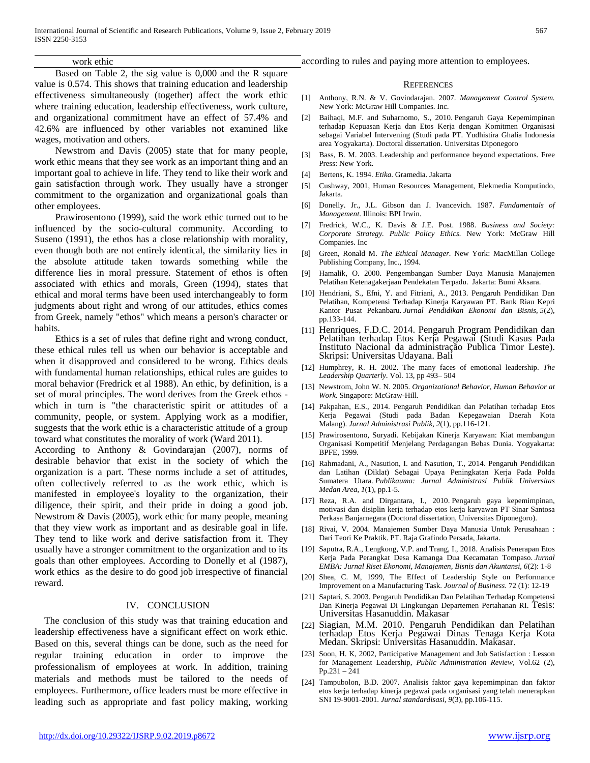## work ethic

Based on Table 2, the sig value is 0,000 and the R square value is 0.574. This shows that training education and leadership effectiveness simultaneously (together) affect the work ethic where training education, leadership effectiveness, work culture, and organizational commitment have an effect of 57.4% and 42.6% are influenced by other variables not examined like wages, motivation and others.

Newstrom and Davis (2005) state that for many people, work ethic means that they see work as an important thing and an important goal to achieve in life. They tend to like their work and gain satisfaction through work. They usually have a stronger commitment to the organization and organizational goals than other employees.

Prawirosentono (1999), said the work ethic turned out to be influenced by the socio-cultural community. According to Suseno (1991), the ethos has a close relationship with morality, even though both are not entirely identical, the similarity lies in the absolute attitude taken towards something while the difference lies in moral pressure. Statement of ethos is often associated with ethics and morals, Green (1994), states that ethical and moral terms have been used interchangeably to form judgments about right and wrong of our attitudes, ethics comes from Greek, namely "ethos" which means a person's character or habits.

Ethics is a set of rules that define right and wrong conduct, these ethical rules tell us when our behavior is acceptable and when it disapproved and considered to be wrong. Ethics deals with fundamental human relationships, ethical rules are guides to moral behavior (Fredrick et al 1988). An ethic, by definition, is a set of moral principles. The word derives from the Greek ethos which in turn is "the characteristic spirit or attitudes of a community, people, or system. Applying work as a modifier, suggests that the work ethic is a characteristic attitude of a group toward what constitutes the morality of work (Ward 2011).

According to Anthony & Govindarajan (2007), norms of desirable behavior that exist in the society of which the organization is a part. These norms include a set of attitudes, often collectively referred to as the work ethic, which is manifested in employee's loyality to the organization, their diligence, their spirit, and their pride in doing a good job. Newstrom & Davis (2005), work ethic for many people, meaning that they view work as important and as desirable goal in life. They tend to like work and derive satisfaction from it. They usually have a stronger commitment to the organization and to its goals than other employees. According to Donelly et al (1987), work ethics as the desire to do good job irrespective of financial reward.

### IV. CONCLUSION

The conclusion of this study was that training education and leadership effectiveness have a significant effect on work ethic. Based on this, several things can be done, such as the need for regular training education in order to improve the professionalism of employees at work. In addition, training materials and methods must be tailored to the needs of employees. Furthermore, office leaders must be more effective in leading such as appropriate and fast policy making, working

#### **REFERENCES**

- [1] Anthony, R.N. & V. Govindarajan. 2007. *Management Control System.*  New York: McGraw Hill Companies. Inc.
- [2] Baihaqi, M.F. and Suharnomo, S., 2010. Pengaruh Gaya Kepemimpinan terhadap Kepuasan Kerja dan Etos Kerja dengan Komitmen Organisasi sebagai Variabel Intervening (Studi pada PT. Yudhistira Ghalia Indonesia area Yogyakarta). Doctoral dissertation. Universitas Diponegoro
- [3] Bass, B. M. 2003. Leadership and performance beyond expectations. Free Press: New York.
- [4] Bertens, K. 1994. *Etika*. Gramedia. Jakarta
- [5] Cushway, 2001, Human Resources Management, Elekmedia Komputindo, Jakarta.
- [6] Donelly. Jr., J.L. Gibson dan J. Ivancevich. 1987. *Fundamentals of Management*. Illinois: BPI Irwin.
- [7] Fredrick, W.C., K. Davis & J.E. Post. 1988. *Business and Society: Corporate Strategy. Public Policy Ethics.* New York: McGraw Hill Companies. Inc
- [8] Green, Ronald M. *The Ethical Manager.* New York: MacMillan College Publishing Company, Inc., 1994.
- [9] Hamalik, O. 2000. Pengembangan Sumber Daya Manusia Manajemen Pelatihan Ketenagakerjaan Pendekatan Terpadu. Jakarta: Bumi Aksara.
- [10] Hendriani, S., Efni, Y. and Fitriani, A., 2013. Pengaruh Pendidikan Dan Pelatihan, Kompetensi Terhadap Kinerja Karyawan PT. Bank Riau Kepri Kantor Pusat Pekanbaru. *Jurnal Pendidikan Ekonomi dan Bisnis*, *5*(2), pp.133-144.
- [11] Henriques, F.D.C. 2014. Pengaruh Program Pendidikan dan Pelatihan terhadap Etos Kerja Pegawai (Studi Kasus Pada Instituto Nacional da administração Publica Timor Leste). Skripsi: Universitas Udayana. Bali
- [12] Humphrey, R. H. 2002. The many faces of emotional leadership. *The Leadership Quarterly*. Vol. 13, pp 493– 504
- [13] Newstrom, John W. N. 2005. *Organizational Behavior, Human Behavior at Work.* Singapore: McGraw-Hill.
- [14] Pakpahan, E.S., 2014. Pengaruh Pendidikan dan Pelatihan terhadap Etos Kerja Pegawai (Studi pada Badan Kepegawaian Daerah Kota Malang). *Jurnal Administrasi Publik*, *2*(1), pp.116-121.
- [15] Prawirosentono, Suryadi. Kebijakan Kinerja Karyawan: Kiat membangun Organisasi Kompetitif Menjelang Perdagangan Bebas Dunia. Yogyakarta: BPFE, 1999.
- [16] Rahmadani, A., Nasution, I. and Nasution, T., 2014. Pengaruh Pendidikan dan Latihan (Diklat) Sebagai Upaya Peningkatan Kerja Pada Polda Sumatera Utara. *Publikauma: Jurnal Administrasi Publik Universitas Medan Area*, *1*(1), pp.1-5.
- [17] Reza, R.A. and Dirgantara, I., 2010. Pengaruh gaya kepemimpinan, motivasi dan disiplin kerja terhadap etos kerja karyawan PT Sinar Santosa Perkasa Banjarnegara (Doctoral dissertation, Universitas Diponegoro).
- [18] Rivai, V. 2004. Manajemen Sumber Daya Manusia Untuk Perusahaan : Dari Teori Ke Praktik. PT. Raja Grafindo Persada, Jakarta.
- [19] Saputra, R.A., Lengkong, V.P. and Trang, I., 2018. Analisis Penerapan Etos Kerja Pada Perangkat Desa Kamanga Dua Kecamatan Tompaso. *Jurnal EMBA: Jurnal Riset Ekonomi, Manajemen, Bisnis dan Akuntansi*, *6*(2): 1-8
- [20] Shea, C. M, 1999, The Effect of Leadership Style on Performance Improvement on a Manufacturing Task. *Journal of Business.* 72 (1): 12-19
- [21] Saptari, S. 2003. Pengaruh Pendidikan Dan Pelatihan Terhadap Kompetensi Dan Kinerja Pegawai Di Lingkungan Departemen Pertahanan RI. Tesis: Universitas Hasanuddin. Makasar
- [22] Siagian, M.M. 2010. Pengaruh Pendidikan dan Pelatihan terhadap Etos Kerja Pegawai Dinas Tenaga Kerja Kota Medan. Skripsi: Universitas Hasanuddin. Makasar.
- [23] Soon, H. K, 2002, Participative Management and Job Satisfaction : Lesson for Management Leadership, *Public Administration Review*, Vol.62 (2), Pp.231 – 241
- [24] Tampubolon, B.D. 2007. Analisis faktor gaya kepemimpinan dan faktor etos kerja terhadap kinerja pegawai pada organisasi yang telah menerapkan SNI 19-9001-2001. *Jurnal standardisasi*, *9*(3), pp.106-115.